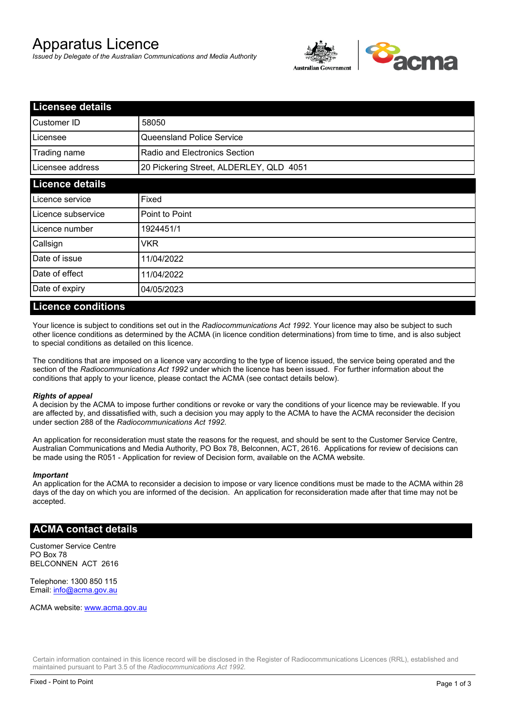# Apparatus Licence

*Issued by Delegate of the Australian Communications and Media Authority*



| <b>Licensee details</b> |                                         |  |  |
|-------------------------|-----------------------------------------|--|--|
| Customer ID             | 58050                                   |  |  |
| Licensee                | Queensland Police Service               |  |  |
| Trading name            | Radio and Electronics Section           |  |  |
| Licensee address        | 20 Pickering Street, ALDERLEY, QLD 4051 |  |  |
| <b>Licence details</b>  |                                         |  |  |
| Licence service         | Fixed                                   |  |  |
| Licence subservice      | Point to Point                          |  |  |
| Licence number          | 1924451/1                               |  |  |
| Callsign                | VKR                                     |  |  |
| Date of issue           | 11/04/2022                              |  |  |
| Date of effect          | 11/04/2022                              |  |  |
| Date of expiry          | 04/05/2023                              |  |  |

### **Licence conditions**

Your licence is subject to conditions set out in the *Radiocommunications Act 1992*. Your licence may also be subject to such other licence conditions as determined by the ACMA (in licence condition determinations) from time to time, and is also subject to special conditions as detailed on this licence.

The conditions that are imposed on a licence vary according to the type of licence issued, the service being operated and the section of the *Radiocommunications Act 1992* under which the licence has been issued. For further information about the conditions that apply to your licence, please contact the ACMA (see contact details below).

### *Rights of appeal*

A decision by the ACMA to impose further conditions or revoke or vary the conditions of your licence may be reviewable. If you are affected by, and dissatisfied with, such a decision you may apply to the ACMA to have the ACMA reconsider the decision under section 288 of the *Radiocommunications Act 1992*.

An application for reconsideration must state the reasons for the request, and should be sent to the Customer Service Centre, Australian Communications and Media Authority, PO Box 78, Belconnen, ACT, 2616. Applications for review of decisions can be made using the R051 - Application for review of Decision form, available on the ACMA website.

#### *Important*

An application for the ACMA to reconsider a decision to impose or vary licence conditions must be made to the ACMA within 28 days of the day on which you are informed of the decision. An application for reconsideration made after that time may not be accepted.

## **ACMA contact details**

Customer Service Centre PO Box 78 BELCONNEN ACT 2616

Telephone: 1300 850 115 Email: info@acma.gov.au

ACMA website: www.acma.gov.au

Certain information contained in this licence record will be disclosed in the Register of Radiocommunications Licences (RRL), established and maintained pursuant to Part 3.5 of the *Radiocommunications Act 1992.*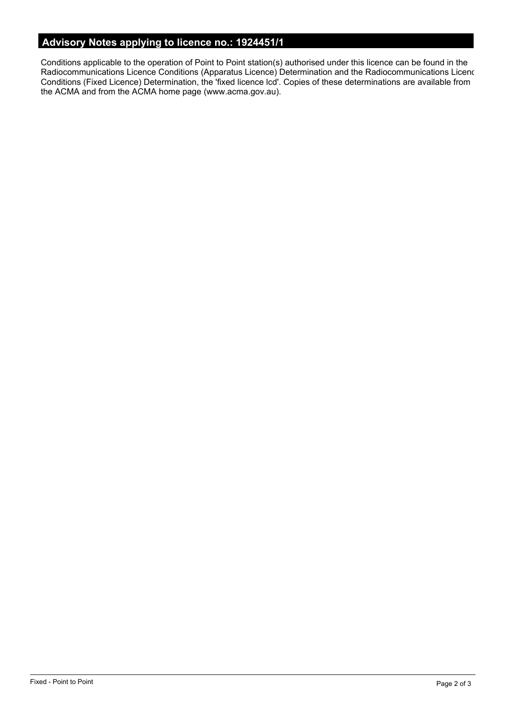## **Advisory Notes applying to licence no.: 1924451/1**

Conditions applicable to the operation of Point to Point station(s) authorised under this licence can be found in the Radiocommunications Licence Conditions (Apparatus Licence) Determination and the Radiocommunications Licence Conditions (Fixed Licence) Determination, the 'fixed licence lcd'. Copies of these determinations are available from the ACMA and from the ACMA home page (www.acma.gov.au).